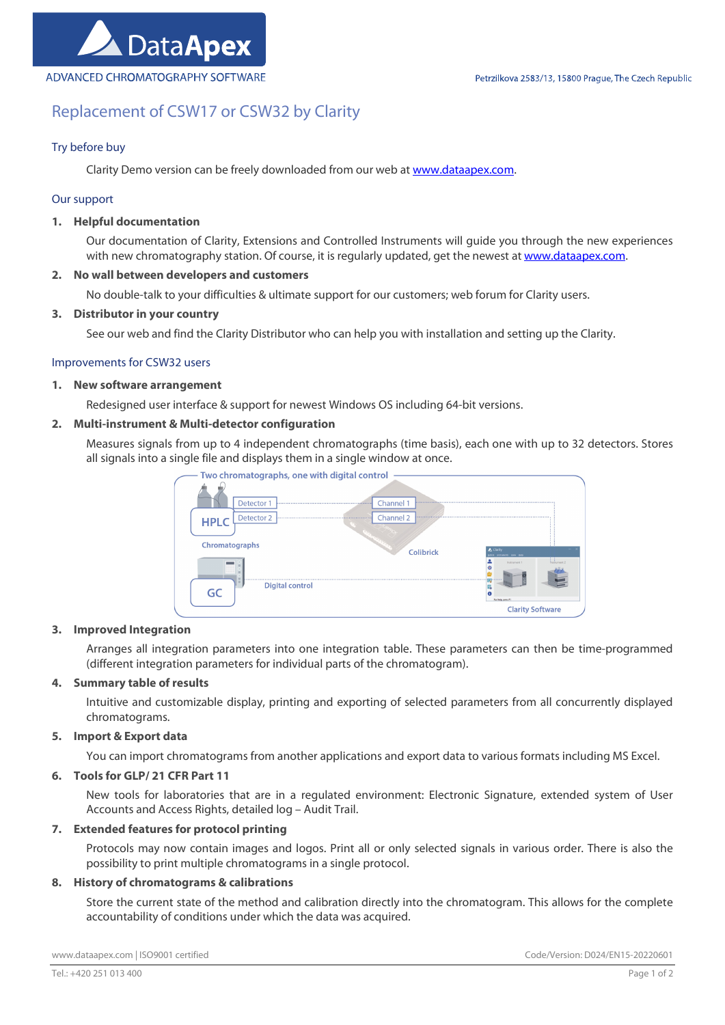# Replacement of CSW17 or CSW32 by Clarity

# Try before buy

Clarity Demo version can be freely downloaded from our web at www.dataapex.com.

## Our support

## 1. Helpful documentation

Our documentation of Clarity, Extensions and Controlled Instruments will guide you through the new experiences with new chromatography station. Of course, it is regularly updated, get the newest at www.dataapex.com.

## 2. No wall between developers and customers

No double-talk to your difficulties & ultimate support for our customers; web forum for Clarity users.

## 3. Distributor in your country

See our web and find the Clarity Distributor who can help you with installation and setting up the Clarity.

## Improvements for CSW32 users

#### 1. New software arrangement

Redesigned user interface & support for newest Windows OS including 64-bit versions.

# 2. Multi-instrument & Multi-detector configuration

Measures signals from up to 4 independent chromatographs (time basis), each one with up to 32 detectors. Stores all signals into a single file and displays them in a single window at once.



#### 3. Improved Integration

Arranges all integration parameters into one integration table. These parameters can then be time-programmed (different integration parameters for individual parts of the chromatogram).

#### 4. Summary table of results

Intuitive and customizable display, printing and exporting of selected parameters from all concurrently displayed chromatograms.

#### 5. Import & Export data

You can import chromatograms from another applications and export data to various formats including MS Excel.

## 6. Tools for GLP/ 21 CFR Part 11

New tools for laboratories that are in a regulated environment: Electronic Signature, extended system of User Accounts and Access Rights, detailed log – Audit Trail.

#### 7. Extended features for protocol printing

Protocols may now contain images and logos. Print all or only selected signals in various order. There is also the possibility to print multiple chromatograms in a single protocol.

## 8. History of chromatograms & calibrations

Store the current state of the method and calibration directly into the chromatogram. This allows for the complete accountability of conditions under which the data was acquired.